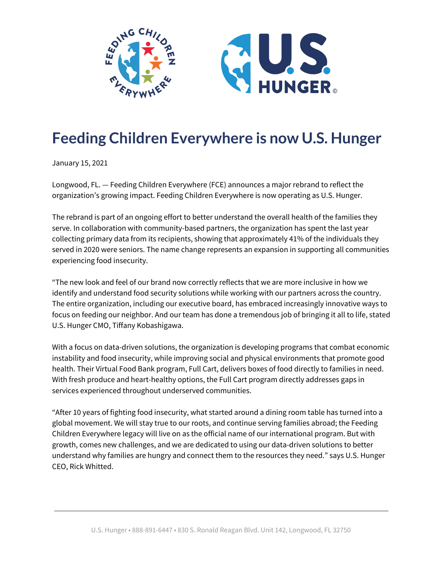

## **Feeding Children Everywhere is now U.S. Hunger**

January 15, 2021

Longwood, FL. — Feeding Children Everywhere (FCE) announces a major rebrand to reflect the organization's growing impact. Feeding Children Everywhere is now operating as U.S. Hunger.

The rebrand is part of an ongoing effort to better understand the overall health of the families they serve. In collaboration with community-based partners, the organization has spent the last year collecting primary data from its recipients, showing that approximately 41% of the individuals they served in 2020 were seniors. The name change represents an expansion in supporting all communities experiencing food insecurity.

"The new look and feel of our brand now correctly reflects that we are more inclusive in how we identify and understand food security solutions while working with our partners across the country. The entire organization, including our executive board, has embraced increasingly innovative ways to focus on feeding our neighbor. And our team has done a tremendous job of bringing it all to life, stated U.S. Hunger CMO, Tiffany Kobashigawa.

With a focus on data-driven solutions, the organization is developing programs that combat economic instability and food insecurity, while improving social and physical environments that promote good health. Their Virtual Food Bank program, Full Cart, delivers boxes of food directly to families in need. With fresh produce and heart-healthy options, the Full Cart program directly addresses gaps in services experienced throughout underserved communities.

"After 10 years of fighting food insecurity, what started around a dining room table has turned into a global movement. We will stay true to our roots, and continue serving families abroad; the Feeding Children Everywhere legacy will live on as the official name of our international program. But with growth, comes new challenges, and we are dedicated to using our data-driven solutions to better understand why families are hungry and connect them to the resources they need." says U.S. Hunger CEO, Rick Whitted.